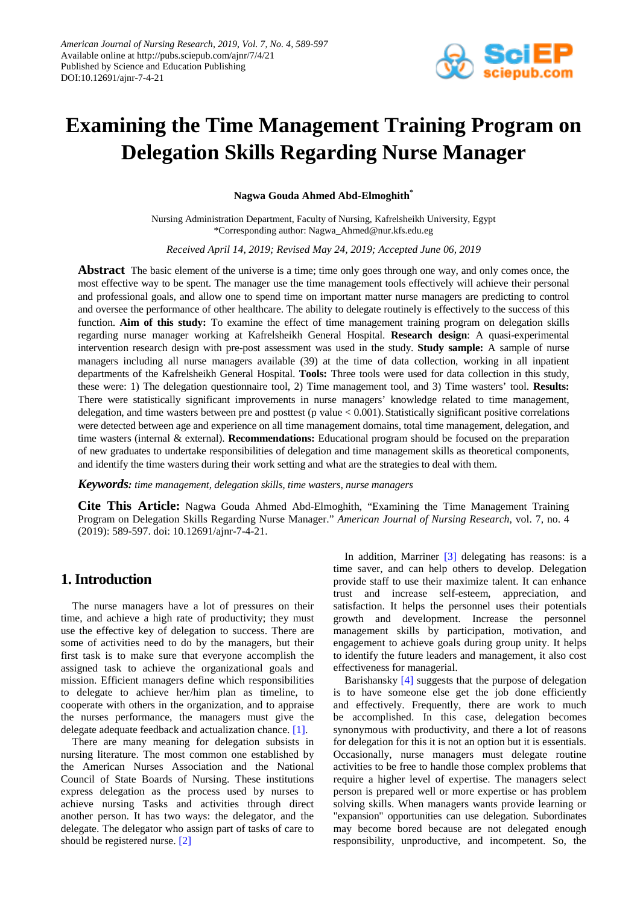

# **Examining the Time Management Training Program on Delegation Skills Regarding Nurse Manager**

**Nagwa Gouda Ahmed Abd-Elmoghith\***

Nursing Administration Department, Faculty of Nursing, Kafrelsheikh University, Egypt \*Corresponding author: Nagwa\_Ahmed@nur.kfs.edu.eg

*Received April 14, 2019; Revised May 24, 2019; Accepted June 06, 2019*

**Abstract** The basic element of the universe is a time; time only goes through one way, and only comes once, the most effective way to be spent. The manager use the time management tools effectively will achieve their personal and professional goals, and allow one to spend time on important matter nurse managers are predicting to control and oversee the performance of other healthcare. The ability to delegate routinely is effectively to the success of this function. **Aim of this study:** To examine the effect of time management training program on delegation skills regarding nurse manager working at Kafrelsheikh General Hospital. **Research design**: A quasi-experimental intervention research design with pre-post assessment was used in the study. **Study sample:** A sample of nurse managers including all nurse managers available (39) at the time of data collection, working in all inpatient departments of the Kafrelsheikh General Hospital. **Tools:** Three tools were used for data collection in this study, these were: 1) The delegation questionnaire tool, 2) Time management tool, and 3) Time wasters' tool. **Results:**  There were statistically significant improvements in nurse managers' knowledge related to time management, delegation, and time wasters between pre and posttest (p value  $< 0.001$ ). Statistically significant positive correlations were detected between age and experience on all time management domains, total time management, delegation, and time wasters (internal & external). **Recommendations:** Educational program should be focused on the preparation of new graduates to undertake responsibilities of delegation and time management skills as theoretical components, and identify the time wasters during their work setting and what are the strategies to deal with them.

*Keywords: time management, delegation skills, time wasters, nurse managers*

**Cite This Article:** Nagwa Gouda Ahmed Abd-Elmoghith, "Examining the Time Management Training Program on Delegation Skills Regarding Nurse Manager." *American Journal of Nursing Research*, vol. 7, no. 4 (2019): 589-597. doi: 10.12691/ajnr-7-4-21.

# **1. Introduction**

The nurse managers have a lot of pressures on their time, and achieve a high rate of productivity; they must use the effective key of delegation to success. There are some of activities need to do by the managers, but their first task is to make sure that everyone accomplish the assigned task to achieve the organizational goals and mission. Efficient managers define which responsibilities to delegate to achieve her/him plan as timeline, to cooperate with others in the organization, and to appraise the nurses performance, the managers must give the delegate adequate feedback and actualization chance. [\[1\].](#page-7-0)

There are many meaning for delegation subsists in nursing literature. The most common one established by the American Nurses Association and the National Council of State Boards of Nursing. These institutions express delegation as the process used by nurses to achieve nursing Tasks and activities through direct another person. It has two ways: the delegator, and the delegate. The delegator who assign part of tasks of care to should be registered nurse. [\[2\]](#page-7-1)

In addition, Marriner [\[3\]](#page-7-2) delegating has reasons: is a time saver, and can help others to develop. Delegation provide staff to use their maximize talent. It can enhance trust and increase self-esteem, appreciation, and satisfaction. It helps the personnel uses their potentials growth and development. Increase the personnel management skills by participation, motivation, and engagement to achieve goals during group unity. It helps to identify the future leaders and management, it also cost effectiveness for managerial.

Barishansky [\[4\]](#page-7-3) suggests that the purpose of delegation is to have someone else get the job done efficiently and effectively. Frequently, there are work to much be accomplished. In this case, delegation becomes synonymous with productivity, and there a lot of reasons for delegation for this it is not an option but it is essentials. Occasionally, nurse managers must delegate routine activities to be free to handle those complex problems that require a higher level of expertise. The managers select person is prepared well or more expertise or has problem solving skills. When managers wants provide learning or "expansion" opportunities can use delegation. Subordinates may become bored because are not delegated enough responsibility, unproductive, and incompetent. So, the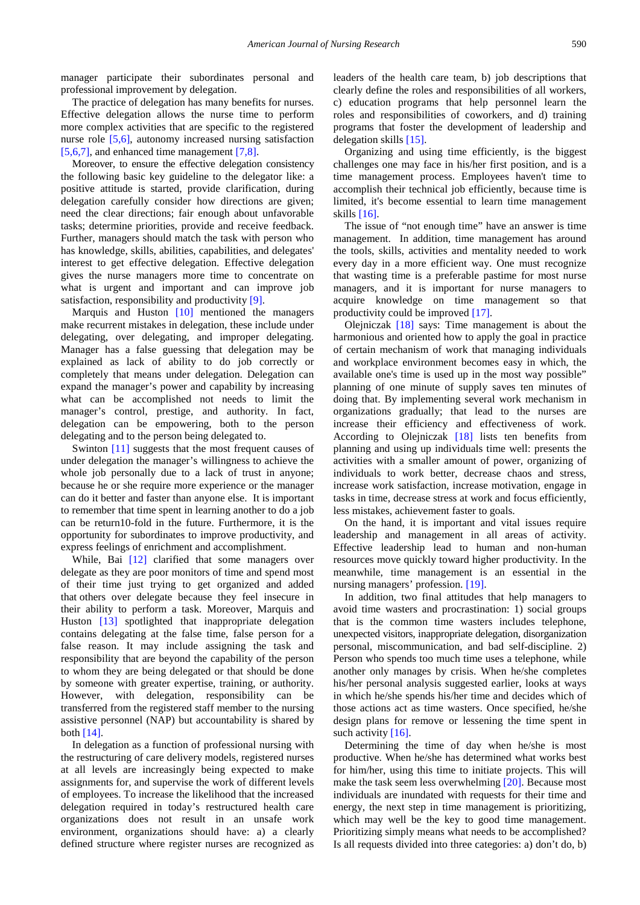manager participate their subordinates personal and professional improvement by delegation.

The practice of delegation has many benefits for nurses. Effective delegation allows the nurse time to perform more complex activities that are specific to the registered nurse role [\[5,6\],](#page-7-4) autonomy increased nursing satisfaction [\[5,6,7\],](#page-7-4) and enhanced time management [\[7,8\].](#page-8-0)

Moreover, to ensure the effective delegation consistency the following basic key guideline to the delegator like: a positive attitude is started, provide clarification, during delegation carefully consider how directions are given; need the clear directions; fair enough about unfavorable tasks; determine priorities, provide and receive feedback. Further, managers should match the task with person who has knowledge, skills, abilities, capabilities, and delegates' interest to get effective delegation. Effective delegation gives the nurse managers more time to concentrate on what is urgent and important and can improve job satisfaction, responsibility and productivity [\[9\].](#page-8-1)

Marquis and Huston [\[10\]](#page-8-2) mentioned the managers make recurrent mistakes in delegation, these include under delegating, over delegating, and improper delegating. Manager has a false guessing that delegation may be explained as lack of ability to do job correctly or completely that means under delegation. Delegation can expand the manager's power and capability by increasing what can be accomplished not needs to limit the manager's control, prestige, and authority. In fact, delegation can be empowering, both to the person delegating and to the person being delegated to.

Swinton [\[11\]](#page-8-3) suggests that the most frequent causes of under delegation the manager's willingness to achieve the whole job personally due to a lack of trust in anyone; because he or she require more experience or the manager can do it better and faster than anyone else. It is important to remember that time spent in learning another to do a job can be return10-fold in the future. Furthermore, it is the opportunity for subordinates to improve productivity, and express feelings of enrichment and accomplishment.

While, Bai [\[12\]](#page-8-4) clarified that some managers over delegate as they are poor monitors of time and spend most of their time just trying to get organized and added that others over delegate because they feel insecure in their ability to perform a task. Moreover, Marquis and Huston [\[13\]](#page-8-5) spotlighted that inappropriate delegation contains delegating at the false time, false person for a false reason. It may include assigning the task and responsibility that are beyond the capability of the person to whom they are being delegated or that should be done by someone with greater expertise, training, or authority. However, with delegation, responsibility can be transferred from the registered staff member to the nursing assistive personnel (NAP) but accountability is shared by both  $[14]$ .

In delegation as a function of professional nursing with the restructuring of care delivery models, registered nurses at all levels are increasingly being expected to make assignments for, and supervise the work of different levels of employees. To increase the likelihood that the increased delegation required in today's restructured health care organizations does not result in an unsafe work environment, organizations should have: a) a clearly defined structure where register nurses are recognized as leaders of the health care team, b) job descriptions that clearly define the roles and responsibilities of all workers, c) education programs that help personnel learn the roles and responsibilities of coworkers, and d) training programs that foster the development of leadership and delegation skills [\[15\].](#page-8-7)

Organizing and using time efficiently, is the biggest challenges one may face in his/her first position, and is a time management process. Employees haven't time to accomplish their technical job efficiently, because time is limited, it's become essential to learn time management skills [\[16\].](#page-8-8)

The issue of "not enough time" have an answer is time management. In addition, time management has around the tools, skills, activities and mentality needed to work every day in a more efficient way. One must recognize that wasting time is a preferable pastime for most nurse managers, and it is important for nurse managers to acquire knowledge on time management so that productivity could be improved [\[17\].](#page-8-9)

Olejniczak [\[18\]](#page-8-10) says: Time management is about the harmonious and oriented how to apply the goal in practice of certain mechanism of work that managing individuals and workplace environment becomes easy in which, the available one's time is used up in the most way possible" planning of one minute of supply saves ten minutes of doing that. By implementing several work mechanism in organizations gradually; that lead to the nurses are increase their efficiency and effectiveness of work. According to Olejniczak [\[18\]](#page-8-10) lists ten benefits from planning and using up individuals time well: presents the activities with a smaller amount of power, organizing of individuals to work better, decrease chaos and stress, increase work satisfaction, increase motivation, engage in tasks in time, decrease stress at work and focus efficiently, less mistakes, achievement faster to goals.

On the hand, it is important and vital issues require leadership and management in all areas of activity. Effective leadership lead to human and non-human resources move quickly toward higher productivity. In the meanwhile, time management is an essential in the nursing managers' profession. [\[19\].](#page-8-11)

In addition, two final attitudes that help managers to avoid time wasters and procrastination: 1) social groups that is the common time wasters includes telephone, unexpected visitors, inappropriate delegation, disorganization personal, miscommunication, and bad self-discipline. 2) Person who spends too much time uses a telephone, while another only manages by crisis. When he/she completes his/her personal analysis suggested earlier, looks at ways in which he/she spends his/her time and decides which of those actions act as time wasters. Once specified, he/she design plans for remove or lessening the time spent in such activity [\[16\].](#page-8-8)

Determining the time of day when he/she is most productive. When he/she has determined what works best for him/her, using this time to initiate projects. This will make the task seem less overwhelming [\[20\].](#page-8-12) Because most individuals are inundated with requests for their time and energy, the next step in time management is prioritizing, which may well be the key to good time management. Prioritizing simply means what needs to be accomplished? Is all requests divided into three categories: a) don't do, b)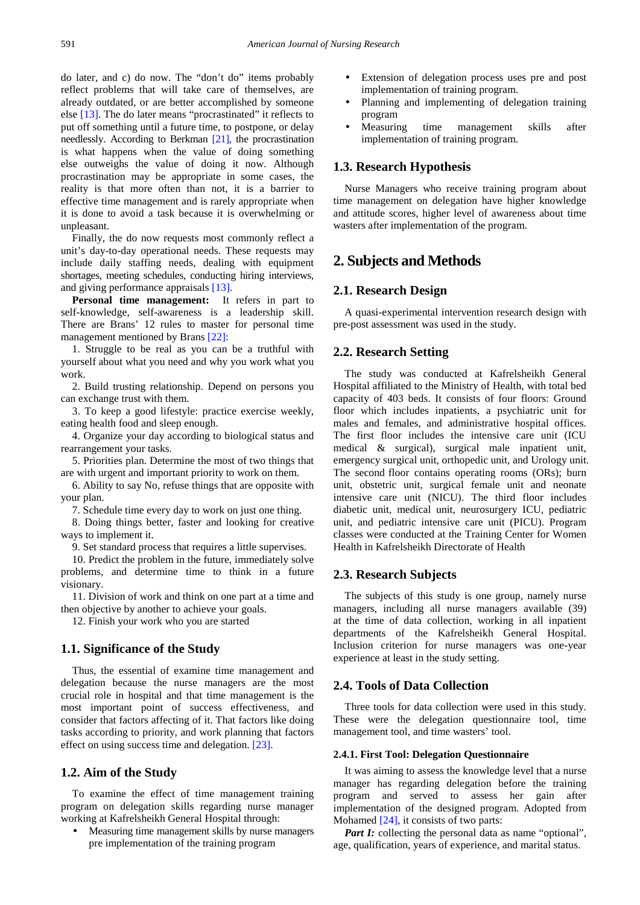do later, and c) do now. The "don't do" items probably reflect problems that will take care of themselves, are already outdated, or are better accomplished by someone else [\[13\].](#page-8-5) The do later means "procrastinated" it reflects to put off something until a future time, to postpone, or delay needlessly. According to Berkman [\[21\],](#page-8-13) the procrastination is what happens when the value of doing something else outweighs the value of doing it now. Although procrastination may be appropriate in some cases, the reality is that more often than not, it is a barrier to effective time management and is rarely appropriate when it is done to avoid a task because it is overwhelming or unpleasant.

Finally, the do now requests most commonly reflect a unit's day-to-day operational needs. These requests may include daily staffing needs, dealing with equipment shortages, meeting schedules, conducting hiring interviews, and giving performance appraisals [\[13\].](#page-8-5)

**Personal time management:** It refers in part to self-knowledge, self-awareness is a leadership skill. There are Brans' 12 rules to master for personal time management mentioned by Brans [\[22\]:](#page-8-14)

1. Struggle to be real as you can be a truthful with yourself about what you need and why you work what you work.

2. Build trusting relationship. Depend on persons you can exchange trust with them.

3. To keep a good lifestyle: practice exercise weekly, eating health food and sleep enough.

4. Organize your day according to biological status and rearrangement your tasks.

5. Priorities plan. Determine the most of two things that are with urgent and important priority to work on them.

6. Ability to say No, refuse things that are opposite with your plan.

7. Schedule time every day to work on just one thing.

8. Doing things better, faster and looking for creative ways to implement it.

9. Set standard process that requires a little supervises.

10. Predict the problem in the future, immediately solve problems, and determine time to think in a future visionary.

11. Division of work and think on one part at a time and then objective by another to achieve your goals.

12. Finish your work who you are started

# **1.1. Significance of the Study**

Thus, the essential of examine time management and delegation because the nurse managers are the most crucial role in hospital and that time management is the most important point of success effectiveness, and consider that factors affecting of it. That factors like doing tasks according to priority, and work planning that factors effect on using success time and delegation. [\[23\].](#page-8-15)

## **1.2. Aim of the Study**

To examine the effect of time management training program on delegation skills regarding nurse manager working at Kafrelsheikh General Hospital through:

• Measuring time management skills by nurse managers pre implementation of the training program

- Extension of delegation process uses pre and post implementation of training program.
- Planning and implementing of delegation training program
- Measuring time management skills after implementation of training program.

## **1.3. Research Hypothesis**

Nurse Managers who receive training program about time management on delegation have higher knowledge and attitude scores, higher level of awareness about time wasters after implementation of the program.

# **2. Subjects and Methods**

## **2.1. Research Design**

A quasi-experimental intervention research design with pre-post assessment was used in the study.

## **2.2. Research Setting**

The study was conducted at Kafrelsheikh General Hospital affiliated to the Ministry of Health, with total bed capacity of 403 beds. It consists of four floors: Ground floor which includes inpatients, a psychiatric unit for males and females, and administrative hospital offices. The first floor includes the intensive care unit (ICU medical & surgical), surgical male inpatient unit, emergency surgical unit, orthopedic unit, and Urology unit. The second floor contains operating rooms (ORs); burn unit, obstetric unit, surgical female unit and neonate intensive care unit (NICU). The third floor includes diabetic unit, medical unit, neurosurgery ICU, pediatric unit, and pediatric intensive care unit (PICU). Program classes were conducted at the Training Center for Women Health in Kafrelsheikh Directorate of Health

# **2.3. Research Subjects**

The subjects of this study is one group, namely nurse managers, including all nurse managers available (39) at the time of data collection, working in all inpatient departments of the Kafrelsheikh General Hospital. Inclusion criterion for nurse managers was one-year experience at least in the study setting.

# **2.4. Tools of Data Collection**

Three tools for data collection were used in this study. These were the delegation questionnaire tool, time management tool, and time wasters' tool.

#### **2.4.1. First Tool: Delegation Questionnaire**

It was aiming to assess the knowledge level that a nurse manager has regarding delegation before the training program and served to assess her gain after implementation of the designed program. Adopted from Mohamed [\[24\],](#page-8-16) it consists of two parts:

*Part I:* collecting the personal data as name "optional", age, qualification, years of experience, and marital status.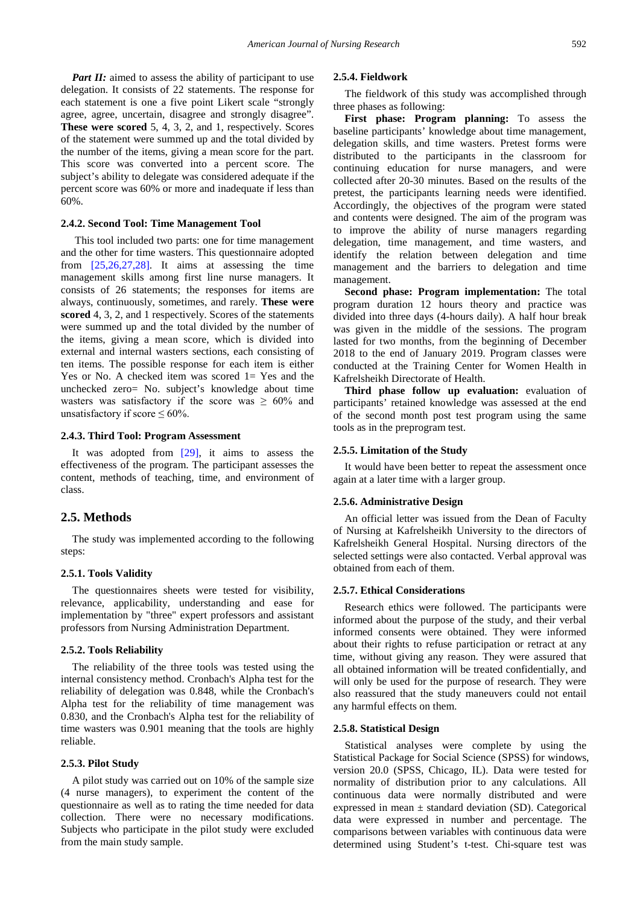*Part II:* aimed to assess the ability of participant to use delegation. It consists of 22 statements. The response for each statement is one a five point Likert scale "strongly agree, agree, uncertain, disagree and strongly disagree". **These were scored** 5, 4, 3, 2, and 1, respectively. Scores of the statement were summed up and the total divided by the number of the items, giving a mean score for the part. This score was converted into a percent score. The subject's ability to delegate was considered adequate if the percent score was 60% or more and inadequate if less than 60%.

## **2.4.2. Second Tool: Time Management Tool**

This tool included two parts: one for time management and the other for time wasters. This questionnaire adopted from  $[25,26,27,28]$ . It aims at assessing the time management skills among first line nurse managers. It consists of 26 statements; the responses for items are always, continuously, sometimes, and rarely. **These were scored** 4, 3, 2, and 1 respectively. Scores of the statements were summed up and the total divided by the number of the items, giving a mean score, which is divided into external and internal wasters sections, each consisting of ten items. The possible response for each item is either Yes or No. A checked item was scored 1= Yes and the unchecked zero= No. subject's knowledge about time wasters was satisfactory if the score was  $\geq 60\%$  and unsatisfactory if score  $\leq 60\%$ .

#### **2.4.3. Third Tool: Program Assessment**

It was adopted from [\[29\],](#page-8-18) it aims to assess the effectiveness of the program. The participant assesses the content, methods of teaching, time, and environment of class.

# **2.5. Methods**

The study was implemented according to the following steps:

## **2.5.1. Tools Validity**

The questionnaires sheets were tested for visibility, relevance, applicability, understanding and ease for implementation by "three" expert professors and assistant professors from Nursing Administration Department.

#### **2.5.2. Tools Reliability**

The reliability of the three tools was tested using the internal consistency method. Cronbach's Alpha test for the reliability of delegation was 0.848, while the Cronbach's Alpha test for the reliability of time management was 0.830, and the Cronbach's Alpha test for the reliability of time wasters was 0.901 meaning that the tools are highly reliable.

#### **2.5.3. Pilot Study**

A pilot study was carried out on 10% of the sample size (4 nurse managers), to experiment the content of the questionnaire as well as to rating the time needed for data collection. There were no necessary modifications. Subjects who participate in the pilot study were excluded from the main study sample.

#### **2.5.4. Fieldwork**

The fieldwork of this study was accomplished through three phases as following:

**First phase: Program planning:** To assess the baseline participants' knowledge about time management, delegation skills, and time wasters. Pretest forms were distributed to the participants in the classroom for continuing education for nurse managers, and were collected after 20-30 minutes. Based on the results of the pretest, the participants learning needs were identified. Accordingly, the objectives of the program were stated and contents were designed. The aim of the program was to improve the ability of nurse managers regarding delegation, time management, and time wasters, and identify the relation between delegation and time management and the barriers to delegation and time management.

**Second phase: Program implementation:** The total program duration 12 hours theory and practice was divided into three days (4-hours daily). A half hour break was given in the middle of the sessions. The program lasted for two months, from the beginning of December 2018 to the end of January 2019. Program classes were conducted at the Training Center for Women Health in Kafrelsheikh Directorate of Health.

**Third phase follow up evaluation:** evaluation of participants' retained knowledge was assessed at the end of the second month post test program using the same tools as in the preprogram test.

#### **2.5.5. Limitation of the Study**

It would have been better to repeat the assessment once again at a later time with a larger group.

#### **2.5.6. Administrative Design**

An official letter was issued from the Dean of Faculty of Nursing at Kafrelsheikh University to the directors of Kafrelsheikh General Hospital. Nursing directors of the selected settings were also contacted. Verbal approval was obtained from each of them.

## **2.5.7. Ethical Considerations**

Research ethics were followed. The participants were informed about the purpose of the study, and their verbal informed consents were obtained. They were informed about their rights to refuse participation or retract at any time, without giving any reason. They were assured that all obtained information will be treated confidentially, and will only be used for the purpose of research. They were also reassured that the study maneuvers could not entail any harmful effects on them.

#### **2.5.8. Statistical Design**

Statistical analyses were complete by using the Statistical Package for Social Science (SPSS) for windows, version 20.0 (SPSS, Chicago, IL). Data were tested for normality of distribution prior to any calculations. All continuous data were normally distributed and were expressed in mean  $\pm$  standard deviation (SD). Categorical data were expressed in number and percentage. The comparisons between variables with continuous data were determined using Student's t-test. Chi-square test was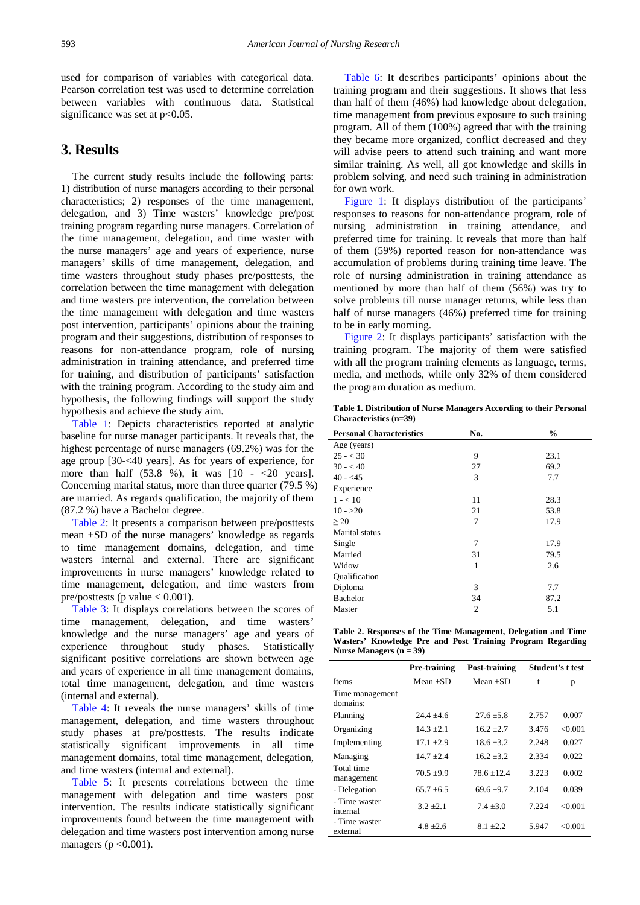used for comparison of variables with categorical data. Pearson correlation test was used to determine correlation between variables with continuous data. Statistical significance was set at  $p<0.05$ .

# **3. Results**

The current study results include the following parts: 1) distribution of nurse managers according to their personal characteristics; 2) responses of the time management, delegation, and 3) Time wasters' knowledge pre/post training program regarding nurse managers. Correlation of the time management, delegation, and time waster with the nurse managers' age and years of experience, nurse managers' skills of time management, delegation, and time wasters throughout study phases pre/posttests, the correlation between the time management with delegation and time wasters pre intervention, the correlation between the time management with delegation and time wasters post intervention, participants' opinions about the training program and their suggestions, distribution of responses to reasons for non-attendance program, role of nursing administration in training attendance, and preferred time for training, and distribution of participants' satisfaction with the training program. According to the study aim and hypothesis, the following findings will support the study hypothesis and achieve the study aim.

[Table 1:](#page-4-0) Depicts characteristics reported at analytic baseline for nurse manager participants. It reveals that, the highest percentage of nurse managers (69.2%) was for the age group [30-<40 years]. As for years of experience, for more than half  $(53.8 \%)$ , it was  $[10 - 20 \text{ years}]$ . Concerning marital status, more than three quarter (79.5 %) are married. As regards qualification, the majority of them (87.2 %) have a Bachelor degree.

[Table 2:](#page-4-1) It presents a comparison between pre/posttests mean ±SD of the nurse managers' knowledge as regards to time management domains, delegation, and time wasters internal and external. There are significant improvements in nurse managers' knowledge related to time management, delegation, and time wasters from pre/posttests (p value  $< 0.001$ ).

[Table 3:](#page-5-0) It displays correlations between the scores of time management, delegation, and time wasters' knowledge and the nurse managers' age and years of experience throughout study phases. Statistically significant positive correlations are shown between age and years of experience in all time management domains, total time management, delegation, and time wasters (internal and external).

[Table 4:](#page-5-1) It reveals the nurse managers' skills of time management, delegation, and time wasters throughout study phases at pre/posttests. The results indicate statistically significant improvements in all time management domains, total time management, delegation, and time wasters (internal and external).

[Table 5:](#page-5-2) It presents correlations between the time management with delegation and time wasters post intervention. The results indicate statistically significant improvements found between the time management with delegation and time wasters post intervention among nurse managers ( $p < 0.001$ ).

[Table 6:](#page-5-3) It describes participants' opinions about the training program and their suggestions. It shows that less than half of them (46%) had knowledge about delegation, time management from previous exposure to such training program. All of them (100%) agreed that with the training they became more organized, conflict decreased and they will advise peers to attend such training and want more similar training. As well, all got knowledge and skills in problem solving, and need such training in administration for own work.

[Figure 1:](#page-6-0) It displays distribution of the participants' responses to reasons for non-attendance program, role of nursing administration in training attendance, and preferred time for training. It reveals that more than half of them (59%) reported reason for non-attendance was accumulation of problems during training time leave. The role of nursing administration in training attendance as mentioned by more than half of them (56%) was try to solve problems till nurse manager returns, while less than half of nurse managers (46%) preferred time for training to be in early morning.

[Figure 2:](#page-6-1) It displays participants' satisfaction with the training program. The majority of them were satisfied with all the program training elements as language, terms, media, and methods, while only 32% of them considered the program duration as medium.

**Table 1. Distribution of Nurse Managers According to their Personal Characteristics (n=39)**

<span id="page-4-0"></span>

| <b>Personal Characteristics</b> | No. | $\frac{0}{0}$ |
|---------------------------------|-----|---------------|
| Age (years)                     |     |               |
| $25 - < 30$                     | 9   | 23.1          |
| $30 - 40$                       | 27  | 69.2          |
| $40 - 45$                       | 3   | 7.7           |
| Experience                      |     |               |
| $1 - 10$                        | 11  | 28.3          |
| $10 - >20$                      | 21  | 53.8          |
| >20                             | 7   | 17.9          |
| Marital status                  |     |               |
| Single                          | 7   | 17.9          |
| Married                         | 31  | 79.5          |
| Widow                           | 1   | 2.6           |
| Oualification                   |     |               |
| Diploma                         | 3   | 7.7           |
| <b>Bachelor</b>                 | 34  | 87.2          |
| Master                          | 2   | 5.1           |

| Table 2. Responses of the Time Management, Delegation and Time |  |  |  |
|----------------------------------------------------------------|--|--|--|
| Wasters' Knowledge Pre and Post Training Program Regarding     |  |  |  |
| Nurse Managers $(n = 39)$                                      |  |  |  |

<span id="page-4-1"></span>

|                             | Pre-training | Post-training  |       | Student's t test |
|-----------------------------|--------------|----------------|-------|------------------|
| <b>Items</b>                | Mean $+SD$   | Mean $+SD$     | t     | p                |
| Time management<br>domains: |              |                |       |                  |
| Planning                    | $24.4 + 4.6$ | $27.6 + 5.8$   | 2.757 | 0.007            |
| Organizing                  | $14.3 + 2.1$ | $16.2 + 2.7$   | 3.476 | < 0.001          |
| Implementing                | $17.1 + 2.9$ | $186 + 32$     | 2.248 | 0.027            |
| Managing                    | $14.7 + 2.4$ | $16.2 + 3.2$   | 2.334 | 0.022            |
| Total time<br>management    | $70.5 + 9.9$ | $78.6 + 12.4$  | 3.223 | 0.002            |
| - Delegation                | $65.7 + 6.5$ | $69.6 \pm 9.7$ | 2.104 | 0.039            |
| - Time waster<br>internal   | $3.2 + 2.1$  | $7.4 + 3.0$    | 7.224 | < 0.001          |
| - Time waster<br>external   | $4.8 + 2.6$  | $8.1 + 2.2$    | 5.947 | < 0.001          |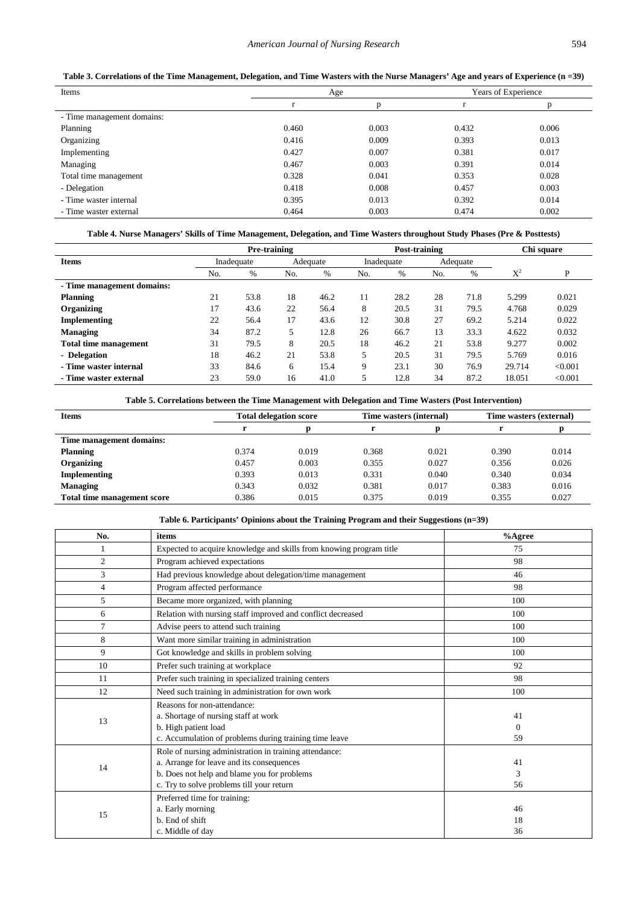| Table 3. Correlations of the Time Management, Delegation, and Time Wasters with the Nurse Managers' Age and years of Experience (n = 39) |  |  |
|------------------------------------------------------------------------------------------------------------------------------------------|--|--|
|                                                                                                                                          |  |  |

<span id="page-5-0"></span>

| Items                      |       | Age   |       | Years of Experience |
|----------------------------|-------|-------|-------|---------------------|
|                            |       |       |       |                     |
| - Time management domains: |       |       |       |                     |
| Planning                   | 0.460 | 0.003 | 0.432 | 0.006               |
| Organizing                 | 0.416 | 0.009 | 0.393 | 0.013               |
| Implementing               | 0.427 | 0.007 | 0.381 | 0.017               |
| Managing                   | 0.467 | 0.003 | 0.391 | 0.014               |
| Total time management      | 0.328 | 0.041 | 0.353 | 0.028               |
| - Delegation               | 0.418 | 0.008 | 0.457 | 0.003               |
| - Time waster internal     | 0.395 | 0.013 | 0.392 | 0.014               |
| - Time waster external     | 0.464 | 0.003 | 0.474 | 0.002               |

## **Table 4. Nurse Managers' Skills of Time Management, Delegation, and Time Wasters throughout Study Phases (Pre & Posttests)**

<span id="page-5-1"></span>

|                              | Pre-training |            |     | Post-training |     |            |     | Chi square |                |         |
|------------------------------|--------------|------------|-----|---------------|-----|------------|-----|------------|----------------|---------|
| <b>Items</b>                 |              | Inadequate |     | Adequate      |     | Inadequate |     | Adequate   |                |         |
|                              | No.          | $\%$       | No. | $\%$          | No. | $\%$       | No. | $\%$       | $\mathrm{X}^2$ | P       |
| - Time management domains:   |              |            |     |               |     |            |     |            |                |         |
| Planning                     | 21           | 53.8       | 18  | 46.2          | 11  | 28.2       | 28  | 71.8       | 5.299          | 0.021   |
| Organizing                   | 17           | 43.6       | 22  | 56.4          | 8   | 20.5       | 31  | 79.5       | 4.768          | 0.029   |
| Implementing                 | 22           | 56.4       | 17  | 43.6          | 12  | 30.8       | 27  | 69.2       | 5.214          | 0.022   |
| <b>Managing</b>              | 34           | 87.2       | 5   | 12.8          | 26  | 66.7       | 13  | 33.3       | 4.622          | 0.032   |
| <b>Total time management</b> | 31           | 79.5       | 8   | 20.5          | 18  | 46.2       | 21  | 53.8       | 9.277          | 0.002   |
| - Delegation                 | 18           | 46.2       | 21  | 53.8          | 5   | 20.5       | 31  | 79.5       | 5.769          | 0.016   |
| - Time waster internal       | 33           | 84.6       | 6   | 15.4          | 9   | 23.1       | 30  | 76.9       | 29.714         | < 0.001 |
| - Time waster external       | 23           | 59.0       | 16  | 41.0          |     | 12.8       | 34  | 87.2       | 18.051         | < 0.001 |

### **Table 5. Correlations between the Time Management with Delegation and Time Wasters (Post Intervention)**

<span id="page-5-2"></span>

| <b>Items</b>                |       | <b>Total delegation score</b> |       | Time wasters (internal) | Time wasters (external) |       |
|-----------------------------|-------|-------------------------------|-------|-------------------------|-------------------------|-------|
|                             |       |                               |       |                         |                         |       |
| Time management domains:    |       |                               |       |                         |                         |       |
| Planning                    | 0.374 | 0.019                         | 0.368 | 0.021                   | 0.390                   | 0.014 |
| Organizing                  | 0.457 | 0.003                         | 0.355 | 0.027                   | 0.356                   | 0.026 |
| Implementing                | 0.393 | 0.013                         | 0.331 | 0.040                   | 0.340                   | 0.034 |
| <b>Managing</b>             | 0.343 | 0.032                         | 0.381 | 0.017                   | 0.383                   | 0.016 |
| Total time management score | 0.386 | 0.015                         | 0.375 | 0.019                   | 0.355                   | 0.027 |

# **Table 6. Participants' Opinions about the Training Program and their Suggestions (n=39)**

<span id="page-5-3"></span>

| No.            | items                                                               | %Agree   |
|----------------|---------------------------------------------------------------------|----------|
|                | Expected to acquire knowledge and skills from knowing program title | 75       |
| 2              | Program achieved expectations                                       | 98       |
| 3              | Had previous knowledge about delegation/time management             | 46       |
| $\overline{4}$ | Program affected performance                                        | 98       |
| 5              | Became more organized, with planning                                | 100      |
| 6              | Relation with nursing staff improved and conflict decreased         | 100      |
| $\overline{7}$ | Advise peers to attend such training                                | 100      |
| 8              | Want more similar training in administration                        | 100      |
| 9              | Got knowledge and skills in problem solving                         | 100      |
| 10             | Prefer such training at workplace                                   | 92       |
| 11             | Prefer such training in specialized training centers                | 98       |
| 12             | Need such training in administration for own work                   | 100      |
|                | Reasons for non-attendance:                                         |          |
| 13             | a. Shortage of nursing staff at work                                | 41       |
|                | b. High patient load                                                | $\Omega$ |
|                | c. Accumulation of problems during training time leave              | 59       |
|                | Role of nursing administration in training attendance:              |          |
| 14             | a. Arrange for leave and its consequences                           | 41       |
|                | b. Does not help and blame you for problems                         | 3        |
|                | c. Try to solve problems till your return                           | 56       |
|                | Preferred time for training:                                        |          |
|                | a. Early morning                                                    | 46       |
| 15             | b. End of shift                                                     | 18       |
|                | c. Middle of day                                                    | 36       |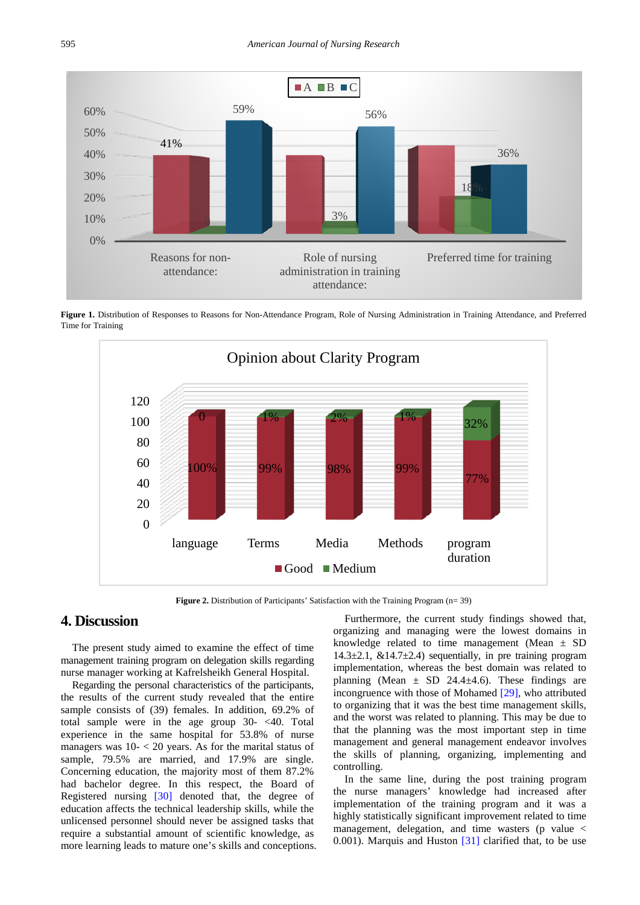<span id="page-6-0"></span>

<span id="page-6-1"></span>Figure 1. Distribution of Responses to Reasons for Non-Attendance Program, Role of Nursing Administration in Training Attendance, and Preferred Time for Training



Figure 2. Distribution of Participants' Satisfaction with the Training Program (n= 39)

# **4. Discussion**

The present study aimed to examine the effect of time management training program on delegation skills regarding nurse manager working at Kafrelsheikh General Hospital.

Regarding the personal characteristics of the participants, the results of the current study revealed that the entire sample consists of (39) females. In addition, 69.2% of total sample were in the age group 30- <40. Total experience in the same hospital for 53.8% of nurse managers was  $10 - 20$  years. As for the marital status of sample, 79.5% are married, and 17.9% are single. Concerning education, the majority most of them 87.2% had bachelor degree. In this respect, the Board of Registered nursing [\[30\]](#page-8-19) denoted that, the degree of education affects the technical leadership skills, while the unlicensed personnel should never be assigned tasks that require a substantial amount of scientific knowledge, as more learning leads to mature one's skills and conceptions.

Furthermore, the current study findings showed that, organizing and managing were the lowest domains in knowledge related to time management (Mean  $\pm$  SD 14.3 $\pm$ 2.1, &14.7 $\pm$ 2.4) sequentially, in pre training program implementation, whereas the best domain was related to planning (Mean  $\pm$  SD 24.4 $\pm$ 4.6). These findings are incongruence with those of Mohamed [\[29\],](#page-8-18) who attributed to organizing that it was the best time management skills, and the worst was related to planning. This may be due to that the planning was the most important step in time management and general management endeavor involves the skills of planning, organizing, implementing and controlling.

In the same line, during the post training program the nurse managers' knowledge had increased after implementation of the training program and it was a highly statistically significant improvement related to time management, delegation, and time wasters (p value < 0.001). Marquis and Huston  $[31]$  clarified that, to be use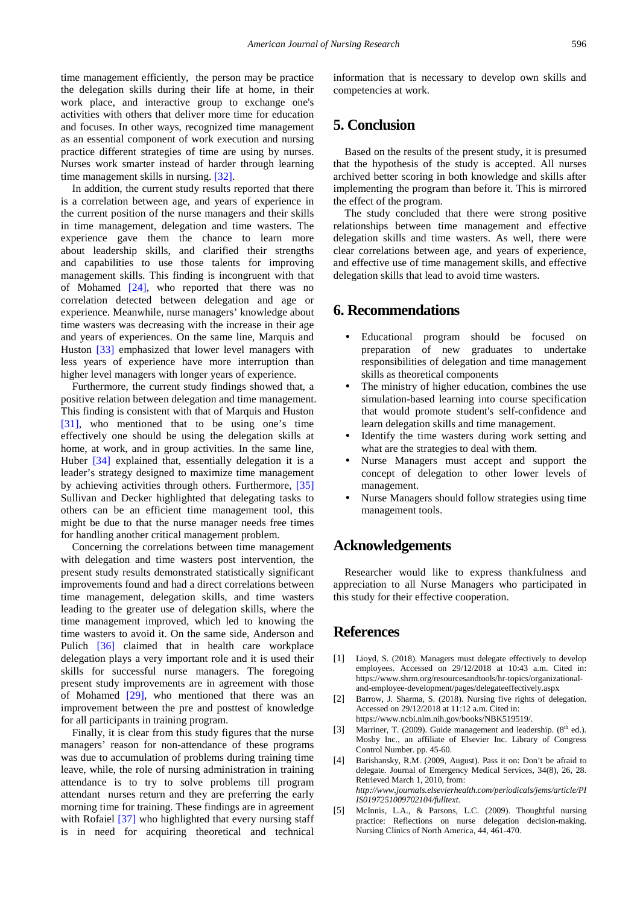time management efficiently, the person may be practice the delegation skills during their life at home, in their work place, and interactive group to exchange one's activities with others that deliver more time for education and focuses. In other ways, recognized time management as an essential component of work execution and nursing practice different strategies of time are using by nurses. Nurses work smarter instead of harder through learning time management skills in nursing. [\[32\].](#page-8-21)

In addition, the current study results reported that there is a correlation between age, and years of experience in the current position of the nurse managers and their skills in time management, delegation and time wasters. The experience gave them the chance to learn more about leadership skills, and clarified their strengths and capabilities to use those talents for improving management skills. This finding is incongruent with that of Mohamed [\[24\],](#page-8-16) who reported that there was no correlation detected between delegation and age or experience. Meanwhile, nurse managers' knowledge about time wasters was decreasing with the increase in their age and years of experiences. On the same line, Marquis and Huston [\[33\]](#page-8-22) emphasized that lower level managers with less years of experience have more interruption than higher level managers with longer years of experience.

Furthermore, the current study findings showed that, a positive relation between delegation and time management. This finding is consistent with that of Marquis and Huston [\[31\],](#page-8-20) who mentioned that to be using one's time effectively one should be using the delegation skills at home, at work, and in group activities. In the same line, Huber [\[34\]](#page-8-23) explained that, essentially delegation it is a leader's strategy designed to maximize time management by achieving activities through others. Furthermore, [\[35\]](#page-8-24) Sullivan and Decker highlighted that delegating tasks to others can be an efficient time management tool, this might be due to that the nurse manager needs free times for handling another critical management problem.

Concerning the correlations between time management with delegation and time wasters post intervention, the present study results demonstrated statistically significant improvements found and had a direct correlations between time management, delegation skills, and time wasters leading to the greater use of delegation skills, where the time management improved, which led to knowing the time wasters to avoid it. On the same side, Anderson and Pulich [\[36\]](#page-8-25) claimed that in health care workplace delegation plays a very important role and it is used their skills for successful nurse managers. The foregoing present study improvements are in agreement with those of Mohamed [\[29\],](#page-8-18) who mentioned that there was an improvement between the pre and posttest of knowledge for all participants in training program.

Finally, it is clear from this study figures that the nurse managers' reason for non-attendance of these programs was due to accumulation of problems during training time leave, while, the role of nursing administration in training attendance is to try to solve problems till program attendant nurses return and they are preferring the early morning time for training. These findings are in agreement with Rofaiel [\[37\]](#page-8-26) who highlighted that every nursing staff is in need for acquiring theoretical and technical information that is necessary to develop own skills and competencies at work.

# **5. Conclusion**

Based on the results of the present study, it is presumed that the hypothesis of the study is accepted. All nurses archived better scoring in both knowledge and skills after implementing the program than before it. This is mirrored the effect of the program.

The study concluded that there were strong positive relationships between time management and effective delegation skills and time wasters. As well, there were clear correlations between age, and years of experience, and effective use of time management skills, and effective delegation skills that lead to avoid time wasters.

# **6. Recommendations**

- Educational program should be focused on preparation of new graduates to undertake responsibilities of delegation and time management skills as theoretical components
- The ministry of higher education, combines the use simulation-based learning into course specification that would promote student's self-confidence and learn delegation skills and time management.
- Identify the time wasters during work setting and what are the strategies to deal with them.
- Nurse Managers must accept and support the concept of delegation to other lower levels of management.
- Nurse Managers should follow strategies using time management tools.

# **Acknowledgements**

Researcher would like to express thankfulness and appreciation to all Nurse Managers who participated in this study for their effective cooperation.

# **References**

- <span id="page-7-0"></span>[1] Lioyd, S. (2018). Managers must delegate effectively to develop employees. Accessed on 29/12/2018 at 10:43 a.m. Cited in: https://www.shrm.org/resourcesandtools/hr-topics/organizationaland-employee-development/pages/delegateeffectively.aspx
- <span id="page-7-1"></span>[2] Barrow, J. Sharma, S. (2018). Nursing five rights of delegation. Accessed on 29/12/2018 at 11:12 a.m. Cited in: https://www.ncbi.nlm.nih.gov/books/NBK519519/.
- <span id="page-7-2"></span>[3] Marriner, T. (2009). Guide management and leadership.  $(8<sup>th</sup>$  ed.). Mosby Inc., an affiliate of Elsevier Inc. Library of Congress Control Number. pp. 45-60.
- <span id="page-7-3"></span>[4] Barishansky, R.M. (2009, August). Pass it on: Don't be afraid to delegate*.* Journal of Emergency Medical Services, 34(8), 26, 28. Retrieved March 1, 2010, from: *http://www.journals.elsevierhealth.com/periodicals/jems/article/PI IS0197251009702104/fulltext*.
- <span id="page-7-4"></span>[5] McInnis, L.A., & Parsons, L.C. (2009). Thoughtful nursing practice: Reflections on nurse delegation decision-making. Nursing Clinics of North America, 44, 461-470.